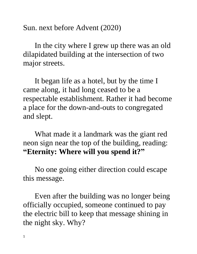Sun. next before Advent (2020)

In the city where I grew up there was an old dilapidated building at the intersection of two major streets.

It began life as a hotel, but by the time I came along, it had long ceased to be a respectable establishment. Rather it had become a place for the down-and-outs to congregated and slept.

What made it a landmark was the giant red neon sign near the top of the building, reading: **"Eternity: Where will you spend it?"**

No one going either direction could escape this message.

Even after the building was no longer being officially occupied, someone continued to pay the electric bill to keep that message shining in the night sky. Why?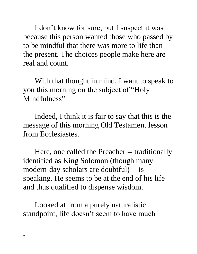I don't know for sure, but I suspect it was because this person wanted those who passed by to be mindful that there was more to life than the present. The choices people make here are real and count.

With that thought in mind, I want to speak to you this morning on the subject of "Holy Mindfulness".

Indeed, I think it is fair to say that this is the message of this morning Old Testament lesson from Ecclesiastes.

Here, one called the Preacher -- traditionally identified as King Solomon (though many modern-day scholars are doubtful) -- is speaking. He seems to be at the end of his life and thus qualified to dispense wisdom.

Looked at from a purely naturalistic standpoint, life doesn't seem to have much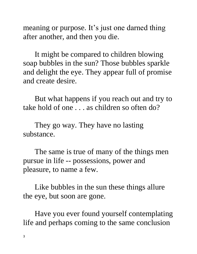meaning or purpose. It's just one darned thing after another, and then you die.

It might be compared to children blowing soap bubbles in the sun? Those bubbles sparkle and delight the eye. They appear full of promise and create desire.

But what happens if you reach out and try to take hold of one . . . as children so often do?

They go way. They have no lasting substance.

The same is true of many of the things men pursue in life -- possessions, power and pleasure, to name a few.

Like bubbles in the sun these things allure the eye, but soon are gone.

Have you ever found yourself contemplating life and perhaps coming to the same conclusion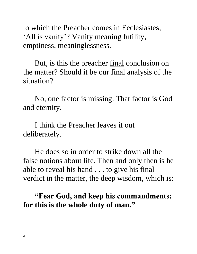to which the Preacher comes in Ecclesiastes, 'All is vanity'? Vanity meaning futility, emptiness, meaninglessness.

But, is this the preacher <u>final</u> conclusion on the matter? Should it be our final analysis of the situation?

No, one factor is missing. That factor is God and eternity.

I think the Preacher leaves it out deliberately.

He does so in order to strike down all the false notions about life. Then and only then is he able to reveal his hand . . . to give his final verdict in the matter, the deep wisdom, which is:

**"Fear God, and keep his commandments: for this is the whole duty of man."**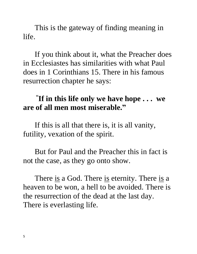This is the gateway of finding meaning in life.

If you think about it, what the Preacher does in Ecclesiastes has similarities with what Paul does in 1 Corinthians 15. There in his famous resurrection chapter he says:

## **" If in this life only we have hope . . . we are of all men most miserable."**

If this is all that there is, it is all vanity, futility, vexation of the spirit.

But for Paul and the Preacher this in fact is not the case, as they go onto show.

There <u>is</u> a God. There <u>is</u> eternity. There <u>is</u> a heaven to be won, a hell to be avoided. There is the resurrection of the dead at the last day. There is everlasting life.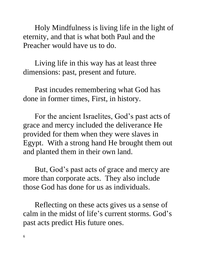Holy Mindfulness is living life in the light of eternity, and that is what both Paul and the Preacher would have us to do.

Living life in this way has at least three dimensions: past, present and future.

Past incudes remembering what God has done in former times, First, in history.

For the ancient Israelites, God's past acts of grace and mercy included the deliverance He provided for them when they were slaves in Egypt. With a strong hand He brought them out and planted them in their own land.

But, God's past acts of grace and mercy are more than corporate acts. They also include those God has done for us as individuals.

Reflecting on these acts gives us a sense of calm in the midst of life's current storms. God's past acts predict His future ones.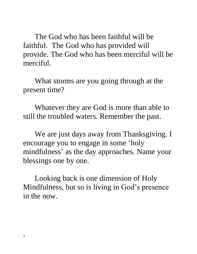The God who has been faithful will be faithful. The God who has provided will provide. The God who has been merciful will be merciful.

What storms are you going through at the present time?

Whatever they are God is more than able to still the troubled waters. Remember the past.

We are just days away from Thanksgiving. I encourage you to engage in some 'holy mindfulness' as the day approaches. Name your blessings one by one.

Looking back is one dimension of Holy Mindfulness, but so is living in God's presence in the now.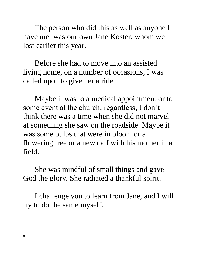The person who did this as well as anyone I have met was our own Jane Koster, whom we lost earlier this year.

Before she had to move into an assisted living home, on a number of occasions, I was called upon to give her a ride.

Maybe it was to a medical appointment or to some event at the church; regardless, I don't think there was a time when she did not marvel at something she saw on the roadside. Maybe it was some bulbs that were in bloom or a flowering tree or a new calf with his mother in a field.

She was mindful of small things and gave God the glory. She radiated a thankful spirit.

I challenge you to learn from Jane, and I will try to do the same myself.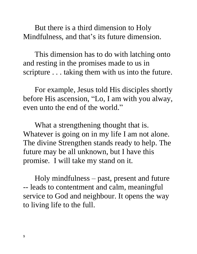But there is a third dimension to Holy Mindfulness, and that's its future dimension.

This dimension has to do with latching onto and resting in the promises made to us in scripture . . . taking them with us into the future.

For example, Jesus told His disciples shortly before His ascension, "Lo, I am with you alway, even unto the end of the world."

What a strengthening thought that is. Whatever is going on in my life I am not alone. The divine Strengthen stands ready to help. The future may be all unknown, but I have this promise. I will take my stand on it.

Holy mindfulness – past, present and future -- leads to contentment and calm, meaningful service to God and neighbour. It opens the way to living life to the full.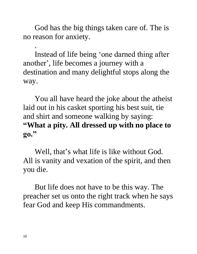God has the big things taken care of. The is no reason for anxiety.

Instead of life being 'one darned thing after another', life becomes a journey with a destination and many delightful stops along the way.

You all have heard the joke about the atheist laid out in his casket sporting his best suit, tie and shirt and someone walking by saying: **"What a pity. All dressed up with no place to go."**

Well, that's what life is like without God. All is vanity and vexation of the spirit, and then you die.

But life does not have to be this way. The preacher set us onto the right track when he says fear God and keep His commandments.

.